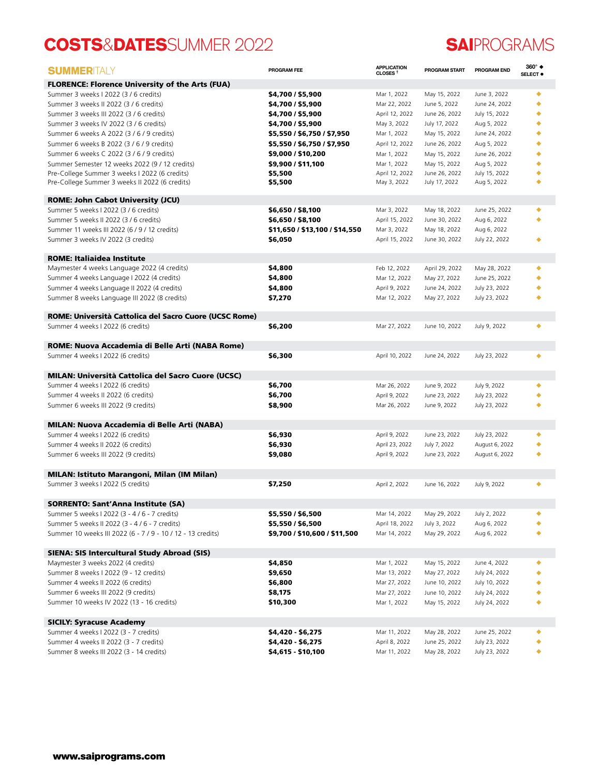## **COSTS**&**DATES**SUMMER 2022 **SAI**PROGRAMS

| <b>SUMMERITALY</b>                                                           | PROGRAM FEE                    | <b>APPLICATION</b><br>CLOSES <sup>T</sup> | <b>PROGRAM START</b>          | PROGRAM END                    | 360° ◆<br>SELECT <sup>®</sup> |
|------------------------------------------------------------------------------|--------------------------------|-------------------------------------------|-------------------------------|--------------------------------|-------------------------------|
| <b>FLORENCE: Florence University of the Arts (FUA)</b>                       |                                |                                           |                               |                                |                               |
| Summer 3 weeks I 2022 (3 / 6 credits)                                        | \$4,700 / \$5,900              | Mar 1, 2022                               | May 15, 2022                  | June 3, 2022                   | ٠                             |
| Summer 3 weeks II 2022 (3 / 6 credits)                                       | \$4,700 / \$5,900              | Mar 22, 2022                              | June 5, 2022                  | June 24, 2022                  | ٠                             |
| Summer 3 weeks III 2022 (3 / 6 credits)                                      | \$4,700 / \$5,900              | April 12, 2022                            | June 26, 2022                 | July 15, 2022                  | ٠                             |
| Summer 3 weeks IV 2022 (3 / 6 credits)                                       | \$4,700 / \$5,900              | May 3, 2022                               | July 17, 2022                 | Aug 5, 2022                    | ٠                             |
| Summer 6 weeks A 2022 (3 / 6 / 9 credits)                                    | \$5,550 / \$6,750 / \$7,950    | Mar 1, 2022                               | May 15, 2022                  | June 24, 2022                  |                               |
| Summer 6 weeks B 2022 (3 / 6 / 9 credits)                                    | \$5,550 / \$6,750 / \$7,950    | April 12, 2022                            | June 26, 2022                 | Aug 5, 2022                    | ٠                             |
| Summer 6 weeks C 2022 (3 / 6 / 9 credits)                                    | \$9,000 / \$10,200             | Mar 1, 2022                               | May 15, 2022                  | June 26, 2022                  | ٠                             |
| Summer Semester 12 weeks 2022 (9 / 12 credits)                               | \$9,900 / \$11,100             | Mar 1, 2022                               | May 15, 2022                  | Aug 5, 2022                    |                               |
| Pre-College Summer 3 weeks I 2022 (6 credits)                                | \$5,500                        | April 12, 2022                            | June 26, 2022                 | July 15, 2022                  |                               |
| Pre-College Summer 3 weeks II 2022 (6 credits)                               | \$5,500                        | May 3, 2022                               | July 17, 2022                 | Aug 5, 2022                    |                               |
| <b>ROME: John Cabot University (JCU)</b>                                     |                                |                                           |                               |                                |                               |
| Summer 5 weeks I 2022 (3 / 6 credits)                                        | \$6,650 / \$8,100              | Mar 3, 2022                               | May 18, 2022                  | June 25, 2022                  | ٠                             |
| Summer 5 weeks II 2022 (3 / 6 credits)                                       | \$6,650 / \$8,100              | April 15, 2022                            | June 30, 2022                 | Aug 6, 2022                    |                               |
| Summer 11 weeks III 2022 (6 / 9 / 12 credits)                                | \$11,650 / \$13,100 / \$14,550 | Mar 3, 2022                               | May 18, 2022                  | Aug 6, 2022                    |                               |
| Summer 3 weeks IV 2022 (3 credits)                                           | \$6,050                        | April 15, 2022                            | June 30, 2022                 | July 22, 2022                  |                               |
| <b>ROME: Italiaidea Institute</b>                                            |                                |                                           |                               |                                |                               |
| Maymester 4 weeks Language 2022 (4 credits)                                  | \$4,800                        | Feb 12, 2022                              | April 29, 2022                | May 28, 2022                   | ٠                             |
| Summer 4 weeks Language I 2022 (4 credits)                                   | \$4,800                        | Mar 12, 2022                              | May 27, 2022                  | June 25, 2022                  |                               |
| Summer 4 weeks Language II 2022 (4 credits)                                  | \$4,800                        | April 9, 2022                             | June 24, 2022                 | July 23, 2022                  |                               |
| Summer 8 weeks Language III 2022 (8 credits)                                 | \$7,270                        | Mar 12, 2022                              | May 27, 2022                  | July 23, 2022                  |                               |
|                                                                              |                                |                                           |                               |                                |                               |
| ROME: Università Cattolica del Sacro Cuore (UCSC Rome)                       |                                |                                           |                               |                                |                               |
| Summer 4 weeks I 2022 (6 credits)                                            | \$6,200                        | Mar 27, 2022                              | June 10, 2022                 | July 9, 2022                   |                               |
| ROME: Nuova Accademia di Belle Arti (NABA Rome)                              |                                |                                           |                               |                                |                               |
| Summer 4 weeks I 2022 (6 credits)                                            | \$6,300                        | April 10, 2022                            | June 24, 2022                 | July 23, 2022                  |                               |
| <b>MILAN: Università Cattolica del Sacro Cuore (UCSC)</b>                    |                                |                                           |                               |                                |                               |
| Summer 4 weeks I 2022 (6 credits)                                            | \$6,700                        | Mar 26, 2022                              | June 9, 2022                  | July 9, 2022                   |                               |
| Summer 4 weeks II 2022 (6 credits)                                           | \$6,700                        | April 9, 2022                             | June 23, 2022                 | July 23, 2022                  |                               |
| Summer 6 weeks III 2022 (9 credits)                                          | \$8,900                        | Mar 26, 2022                              | June 9, 2022                  | July 23, 2022                  |                               |
|                                                                              |                                |                                           |                               |                                |                               |
| MILAN: Nuova Accademia di Belle Arti (NABA)                                  |                                |                                           |                               |                                |                               |
| Summer 4 weeks I 2022 (6 credits)                                            | \$6,930                        | April 9, 2022                             | June 23, 2022                 | July 23, 2022                  | ٠                             |
| Summer 4 weeks II 2022 (6 credits)                                           | \$6,930                        | April 23, 2022                            | July 7, 2022                  | August 6, 2022                 | ٠                             |
| Summer 6 weeks III 2022 (9 credits)                                          | \$9,080                        | April 9, 2022                             | June 23, 2022                 | August 6, 2022                 |                               |
| MILAN: Istituto Marangoni, Milan (IM Milan)                                  |                                |                                           |                               |                                |                               |
| Summer 3 weeks I 2022 (5 credits)                                            | \$7,250                        | April 2, 2022                             | June 16, 2022                 | July 9, 2022                   |                               |
| SORRENTO: Sant'Anna Institute (SA)                                           |                                |                                           |                               |                                |                               |
| Summer 5 weeks I 2022 (3 - 4 / 6 - 7 credits)                                | \$5,550 / \$6,500              | Mar 14, 2022                              | May 29, 2022                  | July 2, 2022                   |                               |
| Summer 5 weeks II 2022 (3 - 4 / 6 - 7 credits)                               | \$5,550 / \$6,500              | April 18, 2022                            | July 3, 2022                  | Aug 6, 2022                    |                               |
| Summer 10 weeks III 2022 (6 - 7 / 9 - 10 / 12 - 13 credits)                  | \$9,700 / \$10,600 / \$11,500  | Mar 14, 2022                              | May 29, 2022                  | Aug 6, 2022                    |                               |
|                                                                              |                                |                                           |                               |                                |                               |
| SIENA: SIS Intercultural Study Abroad (SIS)                                  |                                |                                           |                               |                                |                               |
| Maymester 3 weeks 2022 (4 credits)<br>Summer 8 weeks I 2022 (9 - 12 credits) | \$4,850                        | Mar 1, 2022                               | May 15, 2022                  | June 4, 2022                   | ٠                             |
| Summer 4 weeks II 2022 (6 credits)                                           | \$9,650<br>\$6,800             | Mar 13, 2022<br>Mar 27, 2022              | May 27, 2022<br>June 10, 2022 | July 24, 2022<br>July 10, 2022 |                               |
| Summer 6 weeks III 2022 (9 credits)                                          | \$8,175                        | Mar 27, 2022                              | June 10, 2022                 | July 24, 2022                  |                               |
| Summer 10 weeks IV 2022 (13 - 16 credits)                                    | \$10,300                       | Mar 1, 2022                               | May 15, 2022                  | July 24, 2022                  |                               |
|                                                                              |                                |                                           |                               |                                |                               |
| <b>SICILY: Syracuse Academy</b>                                              |                                |                                           |                               |                                |                               |
| Summer 4 weeks I 2022 (3 - 7 credits)                                        | \$4,420 - \$6,275              | Mar 11, 2022                              | May 28, 2022                  | June 25, 2022                  |                               |
| Summer 4 weeks II 2022 (3 - 7 credits)                                       | \$4,420 - \$6,275              | April 8, 2022                             | June 25, 2022                 | July 23, 2022                  |                               |
| Summer 8 weeks III 2022 (3 - 14 credits)                                     | \$4,615 - \$10,100             | Mar 11, 2022                              | May 28, 2022                  | July 23, 2022                  |                               |